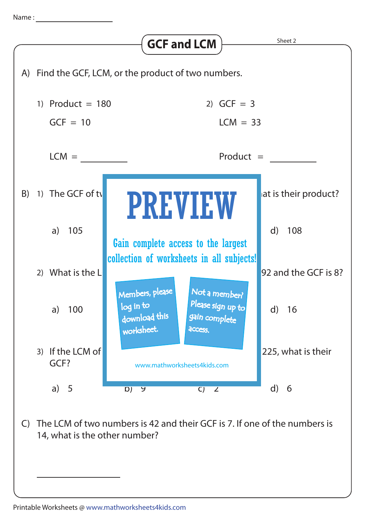